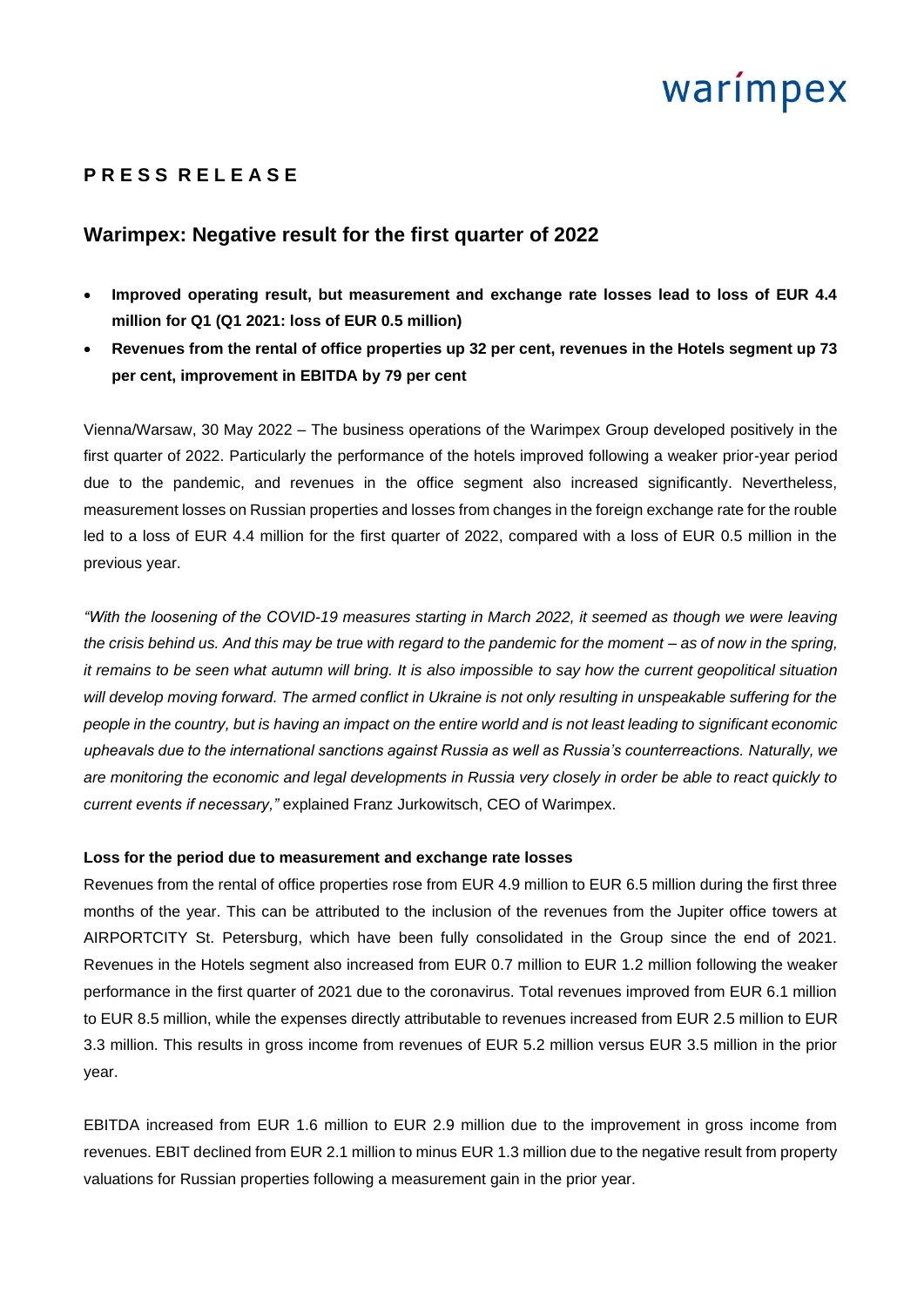# warimpex

# **P R E S S R E L E A S E**

## **Warimpex: Negative result for the first quarter of 2022**

- **Improved operating result, but measurement and exchange rate losses lead to loss of EUR 4.4 million for Q1 (Q1 2021: loss of EUR 0.5 million)**
- **Revenues from the rental of office properties up 32 per cent, revenues in the Hotels segment up 73 per cent, improvement in EBITDA by 79 per cent**

Vienna/Warsaw, 30 May 2022 – The business operations of the Warimpex Group developed positively in the first quarter of 2022. Particularly the performance of the hotels improved following a weaker prior-year period due to the pandemic, and revenues in the office segment also increased significantly. Nevertheless, measurement losses on Russian properties and losses from changes in the foreign exchange rate for the rouble led to a loss of EUR 4.4 million for the first quarter of 2022, compared with a loss of EUR 0.5 million in the previous year.

*"With the loosening of the COVID-19 measures starting in March 2022, it seemed as though we were leaving the crisis behind us. And this may be true with regard to the pandemic for the moment – as of now in the spring, it remains to be seen what autumn will bring. It is also impossible to say how the current geopolitical situation will develop moving forward. The armed conflict in Ukraine is not only resulting in unspeakable suffering for the people in the country, but is having an impact on the entire world and is not least leading to significant economic upheavals due to the international sanctions against Russia as well as Russia's counterreactions. Naturally, we are monitoring the economic and legal developments in Russia very closely in order be able to react quickly to current events if necessary,"* explained Franz Jurkowitsch, CEO of Warimpex.

## **Loss for the period due to measurement and exchange rate losses**

Revenues from the rental of office properties rose from EUR 4.9 million to EUR 6.5 million during the first three months of the year. This can be attributed to the inclusion of the revenues from the Jupiter office towers at AIRPORTCITY St. Petersburg, which have been fully consolidated in the Group since the end of 2021. Revenues in the Hotels segment also increased from EUR 0.7 million to EUR 1.2 million following the weaker performance in the first quarter of 2021 due to the coronavirus. Total revenues improved from EUR 6.1 million to EUR 8.5 million, while the expenses directly attributable to revenues increased from EUR 2.5 million to EUR 3.3 million. This results in gross income from revenues of EUR 5.2 million versus EUR 3.5 million in the prior year.

EBITDA increased from EUR 1.6 million to EUR 2.9 million due to the improvement in gross income from revenues. EBIT declined from EUR 2.1 million to minus EUR 1.3 million due to the negative result from property valuations for Russian properties following a measurement gain in the prior year.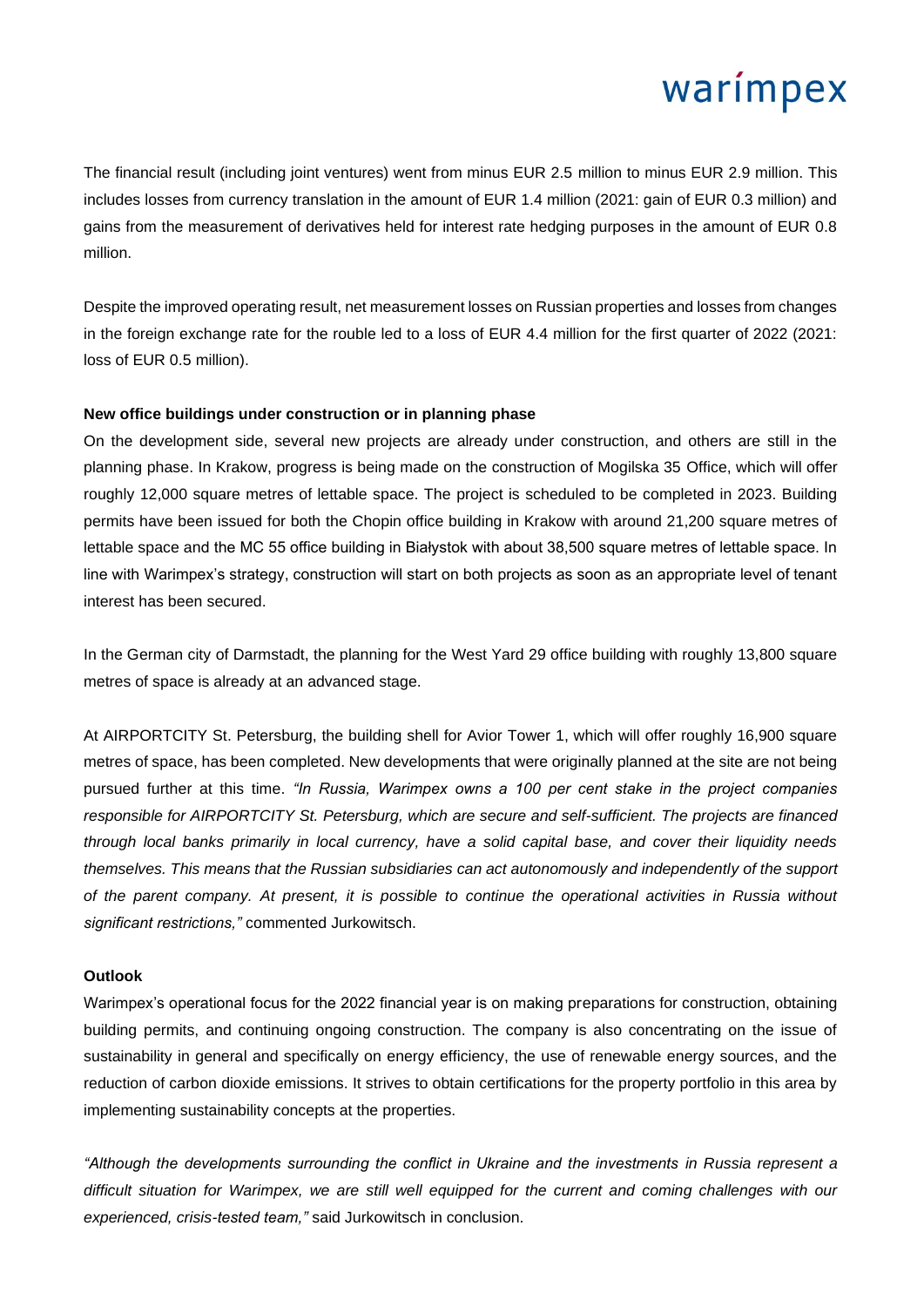# warimpex

The financial result (including joint ventures) went from minus EUR 2.5 million to minus EUR 2.9 million. This includes losses from currency translation in the amount of EUR 1.4 million (2021: gain of EUR 0.3 million) and gains from the measurement of derivatives held for interest rate hedging purposes in the amount of EUR 0.8 million.

Despite the improved operating result, net measurement losses on Russian properties and losses from changes in the foreign exchange rate for the rouble led to a loss of EUR 4.4 million for the first quarter of 2022 (2021: loss of EUR 0.5 million).

### **New office buildings under construction or in planning phase**

On the development side, several new projects are already under construction, and others are still in the planning phase. In Krakow, progress is being made on the construction of Mogilska 35 Office, which will offer roughly 12,000 square metres of lettable space. The project is scheduled to be completed in 2023. Building permits have been issued for both the Chopin office building in Krakow with around 21,200 square metres of lettable space and the MC 55 office building in Białystok with about 38,500 square metres of lettable space. In line with Warimpex's strategy, construction will start on both projects as soon as an appropriate level of tenant interest has been secured.

In the German city of Darmstadt, the planning for the West Yard 29 office building with roughly 13,800 square metres of space is already at an advanced stage.

At AIRPORTCITY St. Petersburg, the building shell for Avior Tower 1, which will offer roughly 16,900 square metres of space, has been completed. New developments that were originally planned at the site are not being pursued further at this time. *"In Russia, Warimpex owns a 100 per cent stake in the project companies responsible for AIRPORTCITY St. Petersburg, which are secure and self-sufficient. The projects are financed through local banks primarily in local currency, have a solid capital base, and cover their liquidity needs themselves. This means that the Russian subsidiaries can act autonomously and independently of the support of the parent company. At present, it is possible to continue the operational activities in Russia without significant restrictions,"* commented Jurkowitsch.

## **Outlook**

Warimpex's operational focus for the 2022 financial year is on making preparations for construction, obtaining building permits, and continuing ongoing construction. The company is also concentrating on the issue of sustainability in general and specifically on energy efficiency, the use of renewable energy sources, and the reduction of carbon dioxide emissions. It strives to obtain certifications for the property portfolio in this area by implementing sustainability concepts at the properties.

*"Although the developments surrounding the conflict in Ukraine and the investments in Russia represent a difficult situation for Warimpex, we are still well equipped for the current and coming challenges with our experienced, crisis-tested team,"* said Jurkowitsch in conclusion.